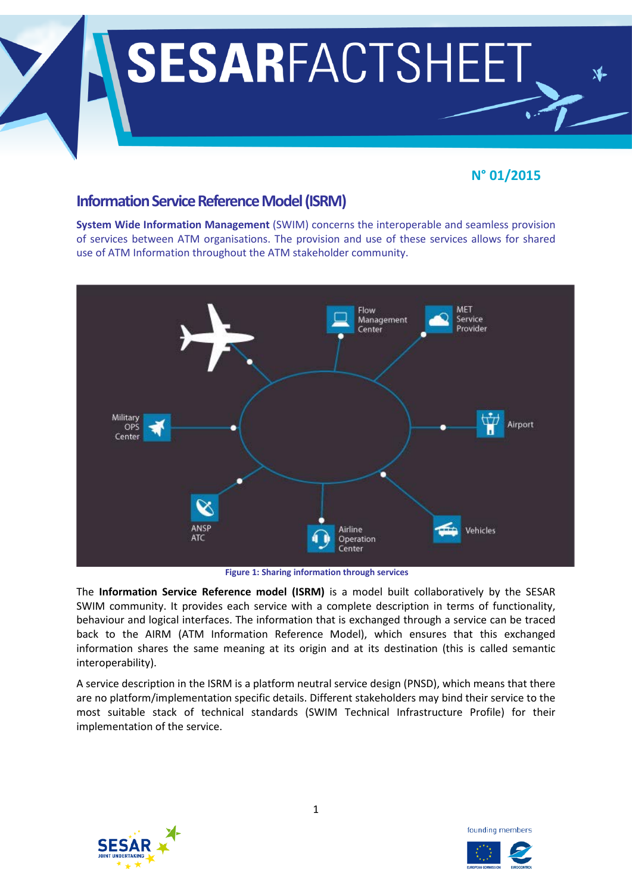

# **N° 01/2015**

# **Information Service Reference Model (ISRM)**

**System Wide Information Management** (SWIM) concerns the interoperable and seamless provision of services between ATM organisations. The provision and use of these services allows for shared use of ATM Information throughout the ATM stakeholder community.



**Figure 1: Sharing information through services**

The **Information Service Reference model (ISRM)** is a model built collaboratively by the SESAR SWIM community. It provides each service with a complete description in terms of functionality, behaviour and logical interfaces. The information that is exchanged through a service can be traced back to the AIRM (ATM Information Reference Model), which ensures that this exchanged information shares the same meaning at its origin and at its destination (this is called semantic interoperability).

A service description in the ISRM is a platform neutral service design (PNSD), which means that there are no platform/implementation specific details. Different stakeholders may bind their service to the most suitable stack of technical standards (SWIM Technical Infrastructure Profile) for their implementation of the service.



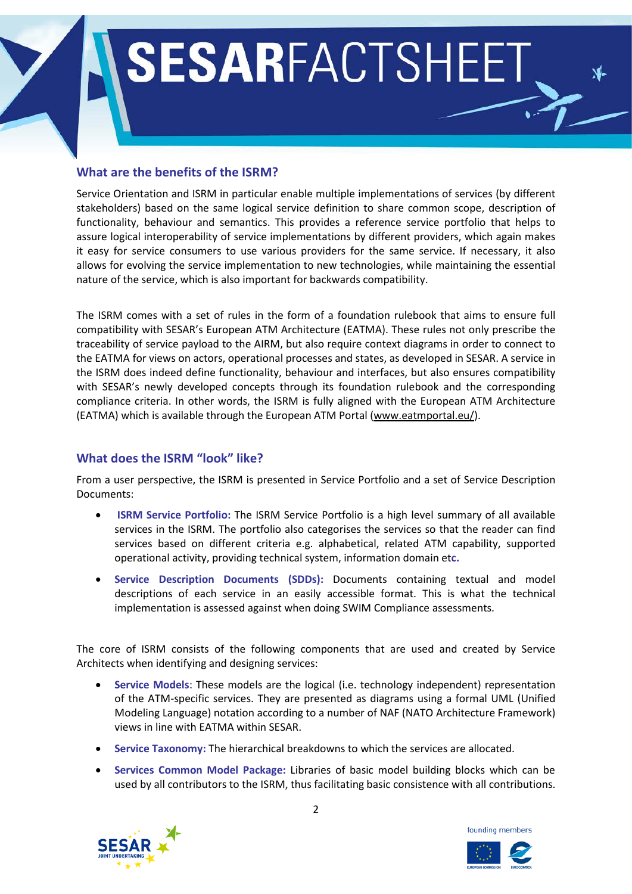# SESARFACTSHEET

# **What are the benefits of the ISRM?**

Service Orientation and ISRM in particular enable multiple implementations of services (by different stakeholders) based on the same logical service definition to share common scope, description of functionality, behaviour and semantics. This provides a reference service portfolio that helps to assure logical interoperability of service implementations by different providers, which again makes it easy for service consumers to use various providers for the same service. If necessary, it also allows for evolving the service implementation to new technologies, while maintaining the essential nature of the service, which is also important for backwards compatibility.

The ISRM comes with a set of rules in the form of a foundation rulebook that aims to ensure full compatibility with SESAR's European ATM Architecture (EATMA). These rules not only prescribe the traceability of service payload to the AIRM, but also require context diagrams in order to connect to the EATMA for views on actors, operational processes and states, as developed in SESAR. A service in the ISRM does indeed define functionality, behaviour and interfaces, but also ensures compatibility with SESAR's newly developed concepts through its foundation rulebook and the corresponding compliance criteria. In other words, the ISRM is fully aligned with the European ATM Architecture (EATMA) which is available through the European ATM Portal [\(www.eatmportal.eu/\)](http://www.eatmportal.eu/).

## **What does the ISRM "look" like?**

From a user perspective, the ISRM is presented in Service Portfolio and a set of Service Description Documents:

- **ISRM Service Portfolio:** The ISRM Service Portfolio is a high level summary of all available services in the ISRM. The portfolio also categorises the services so that the reader can find services based on different criteria e.g. alphabetical, related ATM capability, supported operational activity, providing technical system, information domain et**c.**
- **Service Description Documents (SDDs):** Documents containing textual and model descriptions of each service in an easily accessible format. This is what the technical implementation is assessed against when doing SWIM Compliance assessments.

The core of ISRM consists of the following components that are used and created by Service Architects when identifying and designing services:

- **Service Models**: These models are the logical (i.e. technology independent) representation of the ATM-specific services. They are presented as diagrams using a formal UML (Unified Modeling Language) notation according to a number of NAF (NATO Architecture Framework) views in line with EATMA within SESAR.
- **Service Taxonomy:** The hierarchical breakdowns to which the services are allocated.
- **Services Common Model Package:** Libraries of basic model building blocks which can be used by all contributors to the ISRM, thus facilitating basic consistence with all contributions.

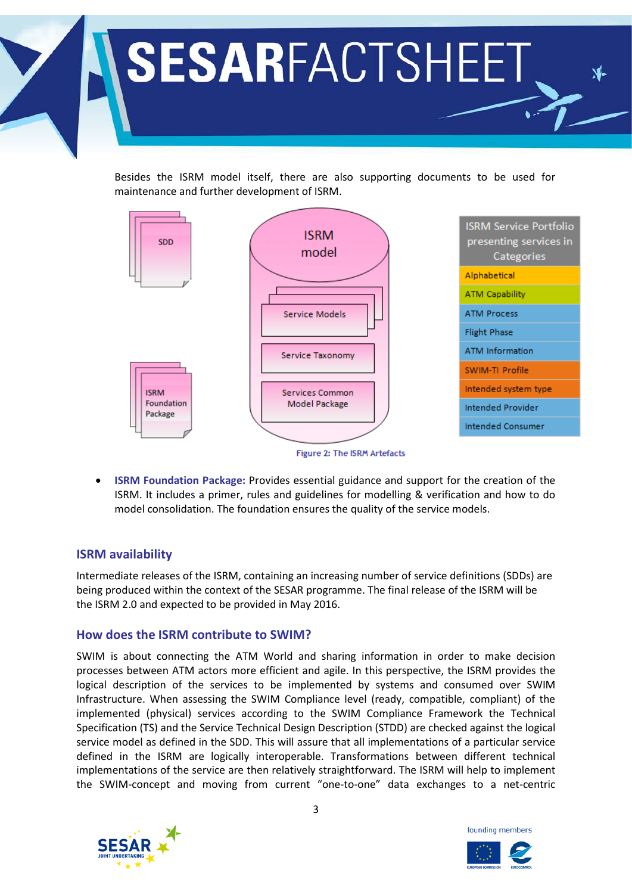

Besides the ISRM model itself, there are also supporting documents to be used for maintenance and further development of ISRM.



Figure 2: The ISRM Artefacts

• **ISRM Foundation Package:** Provides essential guidance and support for the creation of the ISRM. It includes a primer, rules and guidelines for modelling & verification and how to do model consolidation. The foundation ensures the quality of the service models.

#### **ISRM availability**

Intermediate releases of the ISRM, containing an increasing number of service definitions (SDDs) are being produced within the context of the SESAR programme. The final release of the ISRM will be the ISRM 2.0 and expected to be provided in May 2016.

#### **How does the ISRM contribute to SWIM?**

SWIM is about connecting the ATM World and sharing information in order to make decision processes between ATM actors more efficient and agile. In this perspective, the ISRM provides the logical description of the services to be implemented by systems and consumed over SWIM Infrastructure. When assessing the SWIM Compliance level (ready, compatible, compliant) of the implemented (physical) services according to the SWIM Compliance Framework the Technical Specification (TS) and the Service Technical Design Description (STDD) are checked against the logical service model as defined in the SDD. This will assure that all implementations of a particular service defined in the ISRM are logically interoperable. Transformations between different technical implementations of the service are then relatively straightforward. The ISRM will help to implement the SWIM-concept and moving from current "one-to-one" data exchanges to a net-centric